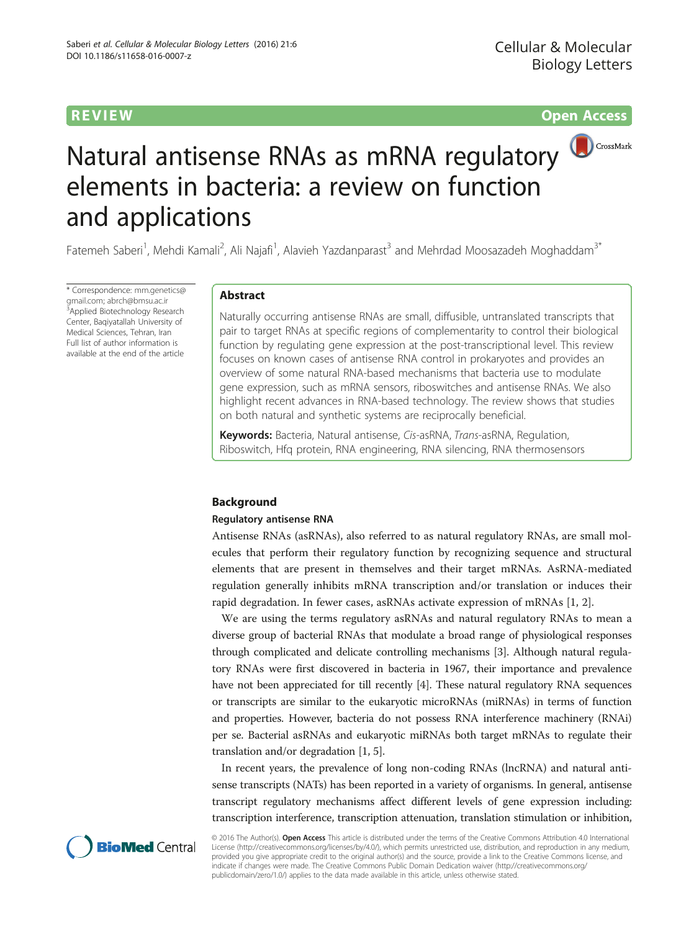# R EVI EW Open Access



# Natural antisense RNAs as mRNA regulatory elements in bacteria: a review on function and applications

Fatemeh Saberi<sup>1</sup>, Mehdi Kamali<sup>2</sup>, Ali Najafi<sup>1</sup>, Alavieh Yazdanparast<sup>3</sup> and Mehrdad Moosazadeh Moghaddam<sup>3\*</sup>

\* Correspondence: [mm.genetics@](mailto:mm.genetics@gmail.com) [gmail.com;](mailto:mm.genetics@gmail.com) [abrch@bmsu.ac.ir](mailto:abrch@bmsu.ac.ir) <sup>3</sup> Applied Biotechnology Research Center, Baqiyatallah University of Medical Sciences, Tehran, Iran Full list of author information is available at the end of the article

# Abstract

Naturally occurring antisense RNAs are small, diffusible, untranslated transcripts that pair to target RNAs at specific regions of complementarity to control their biological function by regulating gene expression at the post-transcriptional level. This review focuses on known cases of antisense RNA control in prokaryotes and provides an overview of some natural RNA-based mechanisms that bacteria use to modulate gene expression, such as mRNA sensors, riboswitches and antisense RNAs. We also highlight recent advances in RNA-based technology. The review shows that studies on both natural and synthetic systems are reciprocally beneficial.

Keywords: Bacteria, Natural antisense, Cis-asRNA, Trans-asRNA, Regulation, Riboswitch, Hfq protein, RNA engineering, RNA silencing, RNA thermosensors

# Background

#### Regulatory antisense RNA

Antisense RNAs (asRNAs), also referred to as natural regulatory RNAs, are small molecules that perform their regulatory function by recognizing sequence and structural elements that are present in themselves and their target mRNAs. AsRNA-mediated regulation generally inhibits mRNA transcription and/or translation or induces their rapid degradation. In fewer cases, asRNAs activate expression of mRNAs [\[1,](#page-14-0) [2](#page-15-0)].

We are using the terms regulatory asRNAs and natural regulatory RNAs to mean a diverse group of bacterial RNAs that modulate a broad range of physiological responses through complicated and delicate controlling mechanisms [\[3\]](#page-15-0). Although natural regulatory RNAs were first discovered in bacteria in 1967, their importance and prevalence have not been appreciated for till recently [\[4\]](#page-15-0). These natural regulatory RNA sequences or transcripts are similar to the eukaryotic microRNAs (miRNAs) in terms of function and properties. However, bacteria do not possess RNA interference machinery (RNAi) per se. Bacterial asRNAs and eukaryotic miRNAs both target mRNAs to regulate their translation and/or degradation [[1](#page-14-0), [5\]](#page-15-0).

In recent years, the prevalence of long non-coding RNAs (lncRNA) and natural antisense transcripts (NATs) has been reported in a variety of organisms. In general, antisense transcript regulatory mechanisms affect different levels of gene expression including: transcription interference, transcription attenuation, translation stimulation or inhibition,



© 2016 The Author(s). Open Access This article is distributed under the terms of the Creative Commons Attribution 4.0 International License ([http://creativecommons.org/licenses/by/4.0/\)](http://creativecommons.org/licenses/by/4.0/), which permits unrestricted use, distribution, and reproduction in any medium, provided you give appropriate credit to the original author(s) and the source, provide a link to the Creative Commons license, and indicate if changes were made. The Creative Commons Public Domain Dedication waiver ([http://creativecommons.org/](http://creativecommons.org/publicdomain/zero/1.0/) [publicdomain/zero/1.0/\)](http://creativecommons.org/publicdomain/zero/1.0/) applies to the data made available in this article, unless otherwise stated.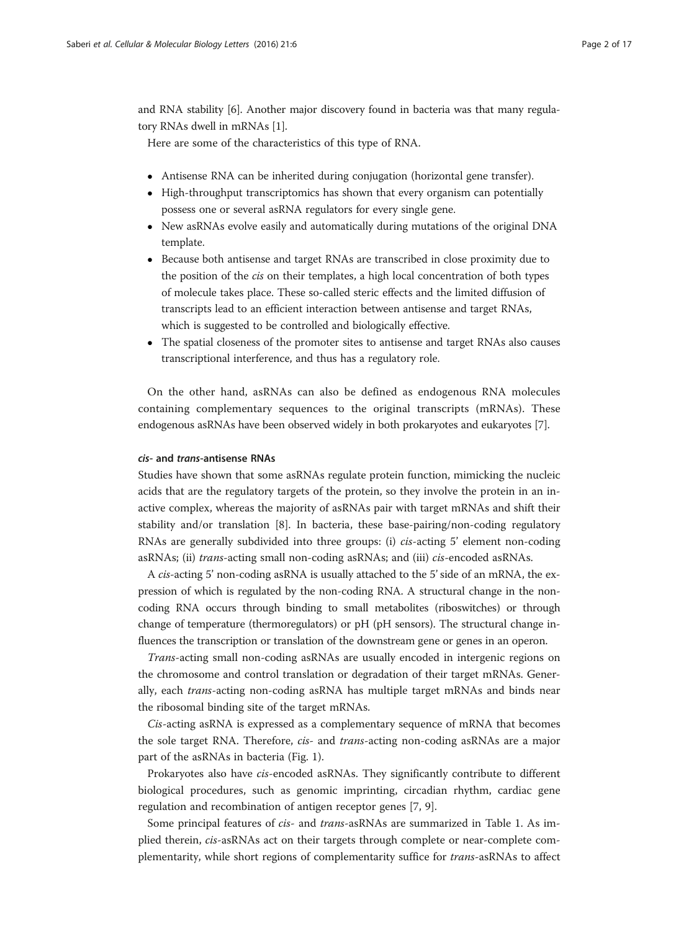and RNA stability [[6\]](#page-15-0). Another major discovery found in bacteria was that many regulatory RNAs dwell in mRNAs [[1\]](#page-14-0).

Here are some of the characteristics of this type of RNA.

- Antisense RNA can be inherited during conjugation (horizontal gene transfer).
- High-throughput transcriptomics has shown that every organism can potentially possess one or several asRNA regulators for every single gene.
- New asRNAs evolve easily and automatically during mutations of the original DNA template.
- Because both antisense and target RNAs are transcribed in close proximity due to the position of the cis on their templates, a high local concentration of both types of molecule takes place. These so-called steric effects and the limited diffusion of transcripts lead to an efficient interaction between antisense and target RNAs, which is suggested to be controlled and biologically effective.
- The spatial closeness of the promoter sites to antisense and target RNAs also causes transcriptional interference, and thus has a regulatory role.

On the other hand, asRNAs can also be defined as endogenous RNA molecules containing complementary sequences to the original transcripts (mRNAs). These endogenous asRNAs have been observed widely in both prokaryotes and eukaryotes [[7](#page-15-0)].

#### cis- and trans-antisense RNAs

Studies have shown that some asRNAs regulate protein function, mimicking the nucleic acids that are the regulatory targets of the protein, so they involve the protein in an inactive complex, whereas the majority of asRNAs pair with target mRNAs and shift their stability and/or translation [[8\]](#page-15-0). In bacteria, these base-pairing/non-coding regulatory RNAs are generally subdivided into three groups: (i) cis-acting 5' element non-coding asRNAs; (ii) trans-acting small non-coding asRNAs; and (iii) cis-encoded asRNAs.

A cis-acting 5' non-coding asRNA is usually attached to the 5' side of an mRNA, the expression of which is regulated by the non-coding RNA. A structural change in the noncoding RNA occurs through binding to small metabolites (riboswitches) or through change of temperature (thermoregulators) or pH (pH sensors). The structural change influences the transcription or translation of the downstream gene or genes in an operon.

Trans-acting small non-coding asRNAs are usually encoded in intergenic regions on the chromosome and control translation or degradation of their target mRNAs. Generally, each trans-acting non-coding asRNA has multiple target mRNAs and binds near the ribosomal binding site of the target mRNAs.

Cis-acting asRNA is expressed as a complementary sequence of mRNA that becomes the sole target RNA. Therefore, *cis-* and *trans-*acting non-coding asRNAs are a major part of the asRNAs in bacteria (Fig. [1\)](#page-2-0).

Prokaryotes also have cis-encoded asRNAs. They significantly contribute to different biological procedures, such as genomic imprinting, circadian rhythm, cardiac gene regulation and recombination of antigen receptor genes [\[7](#page-15-0), [9](#page-15-0)].

Some principal features of cis- and trans-asRNAs are summarized in Table [1.](#page-2-0) As implied therein, cis-asRNAs act on their targets through complete or near-complete complementarity, while short regions of complementarity suffice for trans-asRNAs to affect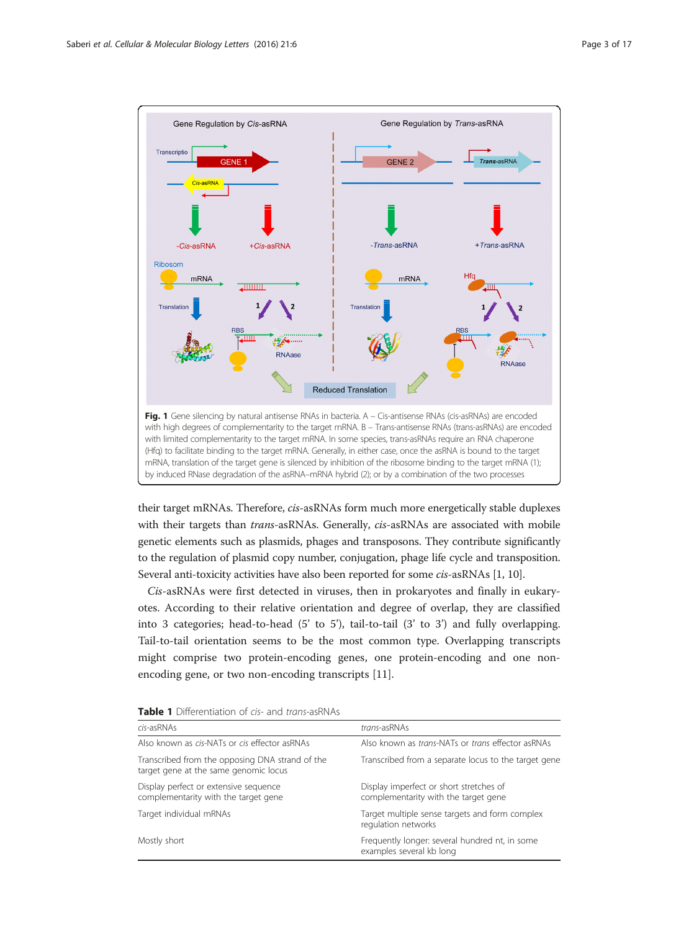<span id="page-2-0"></span>

their target mRNAs. Therefore, cis-asRNAs form much more energetically stable duplexes with their targets than *trans-*asRNAs. Generally, *cis-*asRNAs are associated with mobile genetic elements such as plasmids, phages and transposons. They contribute significantly to the regulation of plasmid copy number, conjugation, phage life cycle and transposition. Several anti-toxicity activities have also been reported for some cis-asRNAs [\[1](#page-14-0), [10](#page-15-0)].

Cis-asRNAs were first detected in viruses, then in prokaryotes and finally in eukaryotes. According to their relative orientation and degree of overlap, they are classified into 3 categories; head-to-head (5' to 5'), tail-to-tail (3' to 3') and fully overlapping. Tail-to-tail orientation seems to be the most common type. Overlapping transcripts might comprise two protein-encoding genes, one protein-encoding and one nonencoding gene, or two non-encoding transcripts [[11\]](#page-15-0).

| cis-asRNAs                                                                               | trans-asRNAs                                                                    |
|------------------------------------------------------------------------------------------|---------------------------------------------------------------------------------|
| Also known as cis-NATs or cis effector asRNAs                                            | Also known as <i>trans</i> -NATs or <i>trans</i> effector asRNAs                |
| Transcribed from the opposing DNA strand of the<br>target gene at the same genomic locus | Transcribed from a separate locus to the target gene                            |
| Display perfect or extensive sequence<br>complementarity with the target gene            | Display imperfect or short stretches of<br>complementarity with the target gene |
| Target individual mRNAs                                                                  | Target multiple sense targets and form complex<br>regulation networks           |
| Mostly short                                                                             | Frequently longer: several hundred nt, in some<br>examples several kb long      |

| <b>Table 1</b> Differentiation of cis- and trans-asRNAs |  |  |
|---------------------------------------------------------|--|--|
|---------------------------------------------------------|--|--|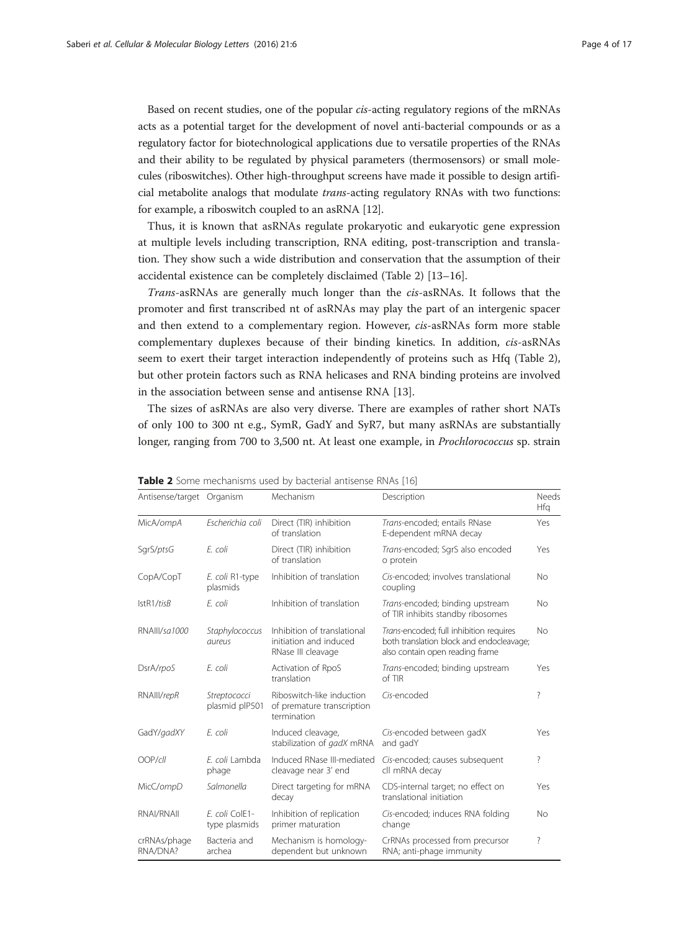Based on recent studies, one of the popular cis-acting regulatory regions of the mRNAs acts as a potential target for the development of novel anti-bacterial compounds or as a regulatory factor for biotechnological applications due to versatile properties of the RNAs and their ability to be regulated by physical parameters (thermosensors) or small molecules (riboswitches). Other high-throughput screens have made it possible to design artificial metabolite analogs that modulate trans-acting regulatory RNAs with two functions: for example, a riboswitch coupled to an asRNA [\[12\]](#page-15-0).

Thus, it is known that asRNAs regulate prokaryotic and eukaryotic gene expression at multiple levels including transcription, RNA editing, post-transcription and translation. They show such a wide distribution and conservation that the assumption of their accidental existence can be completely disclaimed (Table 2) [[13](#page-15-0)–[16](#page-15-0)].

Trans-asRNAs are generally much longer than the cis-asRNAs. It follows that the promoter and first transcribed nt of asRNAs may play the part of an intergenic spacer and then extend to a complementary region. However, cis-asRNAs form more stable complementary duplexes because of their binding kinetics. In addition, cis-asRNAs seem to exert their target interaction independently of proteins such as Hfq (Table 2), but other protein factors such as RNA helicases and RNA binding proteins are involved in the association between sense and antisense RNA [\[13](#page-15-0)].

The sizes of asRNAs are also very diverse. There are examples of rather short NATs of only 100 to 300 nt e.g., SymR, GadY and SyR7, but many asRNAs are substantially longer, ranging from 700 to 3,500 nt. At least one example, in Prochlorococcus sp. strain

| Antisense/target Organism |                                 | Mechanism                                                                   | Description                                                                                                            | Needs<br>Hfg |
|---------------------------|---------------------------------|-----------------------------------------------------------------------------|------------------------------------------------------------------------------------------------------------------------|--------------|
| MicA/ompA                 | Escherichia coli                | Direct (TIR) inhibition<br>of translation                                   | Trans-encoded; entails RNase<br>E-dependent mRNA decay                                                                 | Yes          |
| SgrS/ptsG                 | E. coli                         | Direct (TIR) inhibition<br>of translation                                   | Trans-encoded; SgrS also encoded<br>o protein                                                                          | Yes          |
| CopA/CopT                 | E. coli R1-type<br>plasmids     | Inhibition of translation                                                   | Cis-encoded: involves translational<br>coupling                                                                        | <b>No</b>    |
| IstR1/tisB                | E. coli                         | Inhibition of translation                                                   | Trans-encoded; binding upstream<br>of TIR inhibits standby ribosomes                                                   | No           |
| RNAIII/sa1000             | Staphylococcus<br>aureus        | Inhibition of translational<br>initiation and induced<br>RNase III cleavage | Trans-encoded; full inhibition requires<br>both translation block and endocleavage;<br>also contain open reading frame | No           |
| DsrA/rpoS                 | E. coli                         | Activation of RpoS<br>translation                                           | Trans-encoded; binding upstream<br>of TIR                                                                              | Yes          |
| RNAIII/repR               | Streptococci<br>plasmid plP501  | Riboswitch-like induction<br>of premature transcription<br>termination      | Cis-encoded                                                                                                            | ?            |
| GadY/gadXY                | E. coli                         | Induced cleavage,<br>stabilization of gadX mRNA                             | Cis-encoded between gadX<br>and gadY                                                                                   | Yes          |
| OOP/cll                   | E. coli Lambda<br>phage         | Induced RNase III-mediated<br>cleavage near 3' end                          | Cis-encoded; causes subsequent<br>cll mRNA decay                                                                       | ?            |
| MicC/ompD                 | Salmonella                      | Direct targeting for mRNA<br>decay                                          | CDS-internal target; no effect on<br>translational initiation                                                          | Yes          |
| RNAI/RNAII                | E. coli ColE1-<br>type plasmids | Inhibition of replication<br>primer maturation                              | Cis-encoded; induces RNA folding<br>change                                                                             | No           |
| crRNAs/phage<br>RNA/DNA?  | Bacteria and<br>archea          | Mechanism is homology-<br>dependent but unknown                             | CrRNAs processed from precursor<br>RNA; anti-phage immunity                                                            | ?            |

Table 2 Some mechanisms used by bacterial antisense RNAs [[16\]](#page-15-0)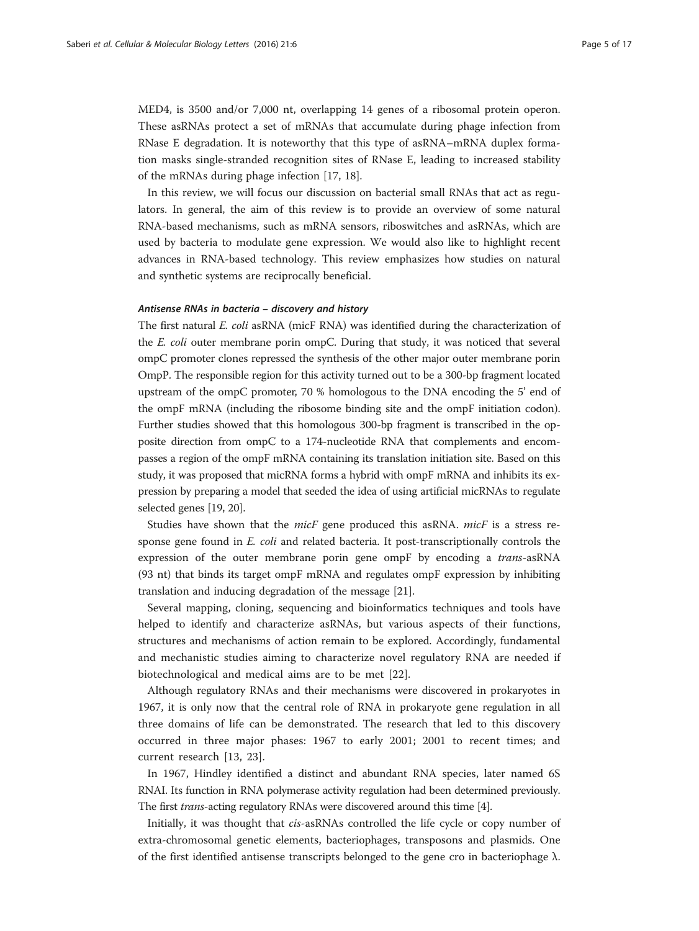MED4, is 3500 and/or 7,000 nt, overlapping 14 genes of a ribosomal protein operon. These asRNAs protect a set of mRNAs that accumulate during phage infection from RNase E degradation. It is noteworthy that this type of asRNA–mRNA duplex formation masks single-stranded recognition sites of RNase E, leading to increased stability of the mRNAs during phage infection [[17, 18](#page-15-0)].

In this review, we will focus our discussion on bacterial small RNAs that act as regulators. In general, the aim of this review is to provide an overview of some natural RNA-based mechanisms, such as mRNA sensors, riboswitches and asRNAs, which are used by bacteria to modulate gene expression. We would also like to highlight recent advances in RNA-based technology. This review emphasizes how studies on natural and synthetic systems are reciprocally beneficial.

# Antisense RNAs in bacteria – discovery and history

The first natural E. coli asRNA (micF RNA) was identified during the characterization of the E. coli outer membrane porin ompC. During that study, it was noticed that several ompC promoter clones repressed the synthesis of the other major outer membrane porin OmpP. The responsible region for this activity turned out to be a 300-bp fragment located upstream of the ompC promoter, 70 % homologous to the DNA encoding the 5' end of the ompF mRNA (including the ribosome binding site and the ompF initiation codon). Further studies showed that this homologous 300-bp fragment is transcribed in the opposite direction from ompC to a 174-nucleotide RNA that complements and encompasses a region of the ompF mRNA containing its translation initiation site. Based on this study, it was proposed that micRNA forms a hybrid with ompF mRNA and inhibits its expression by preparing a model that seeded the idea of using artificial micRNAs to regulate selected genes [\[19, 20\]](#page-15-0).

Studies have shown that the *micF* gene produced this asRNA. *micF* is a stress response gene found in E. coli and related bacteria. It post-transcriptionally controls the expression of the outer membrane porin gene ompF by encoding a *trans-asRNA* (93 nt) that binds its target ompF mRNA and regulates ompF expression by inhibiting translation and inducing degradation of the message [\[21](#page-15-0)].

Several mapping, cloning, sequencing and bioinformatics techniques and tools have helped to identify and characterize asRNAs, but various aspects of their functions, structures and mechanisms of action remain to be explored. Accordingly, fundamental and mechanistic studies aiming to characterize novel regulatory RNA are needed if biotechnological and medical aims are to be met [\[22\]](#page-15-0).

Although regulatory RNAs and their mechanisms were discovered in prokaryotes in 1967, it is only now that the central role of RNA in prokaryote gene regulation in all three domains of life can be demonstrated. The research that led to this discovery occurred in three major phases: 1967 to early 2001; 2001 to recent times; and current research [\[13](#page-15-0), [23](#page-15-0)].

In 1967, Hindley identified a distinct and abundant RNA species, later named 6S RNAI. Its function in RNA polymerase activity regulation had been determined previously. The first trans-acting regulatory RNAs were discovered around this time [[4](#page-15-0)].

Initially, it was thought that cis-asRNAs controlled the life cycle or copy number of extra-chromosomal genetic elements, bacteriophages, transposons and plasmids. One of the first identified antisense transcripts belonged to the gene cro in bacteriophage λ.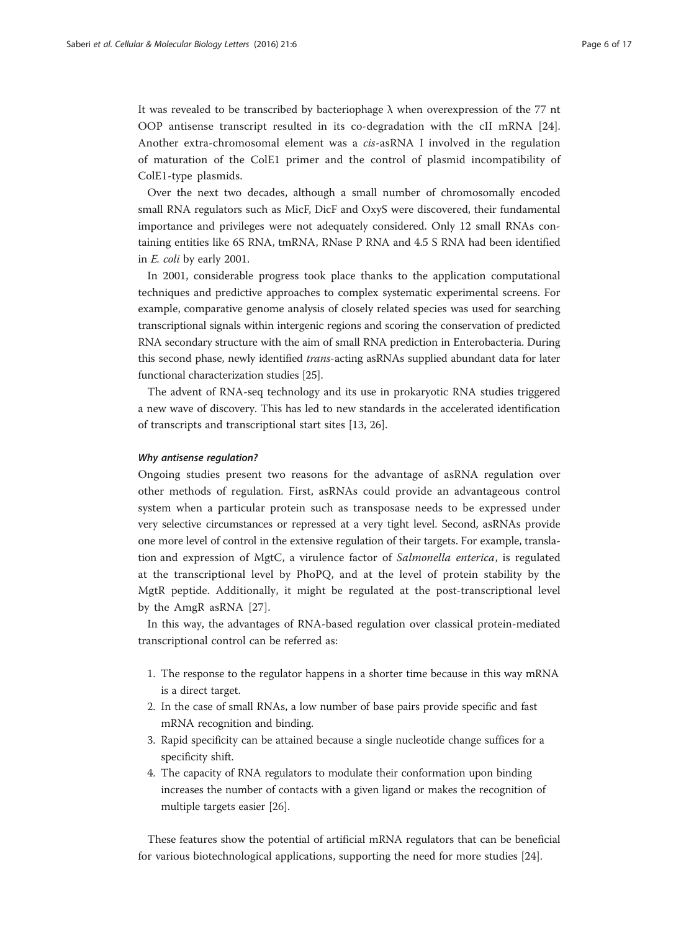It was revealed to be transcribed by bacteriophage  $\lambda$  when overexpression of the 77 nt OOP antisense transcript resulted in its co-degradation with the cII mRNA [\[24](#page-15-0)]. Another extra-chromosomal element was a cis-asRNA I involved in the regulation of maturation of the ColE1 primer and the control of plasmid incompatibility of ColE1-type plasmids.

Over the next two decades, although a small number of chromosomally encoded small RNA regulators such as MicF, DicF and OxyS were discovered, their fundamental importance and privileges were not adequately considered. Only 12 small RNAs containing entities like 6S RNA, tmRNA, RNase P RNA and 4.5 S RNA had been identified in E. coli by early 2001.

In 2001, considerable progress took place thanks to the application computational techniques and predictive approaches to complex systematic experimental screens. For example, comparative genome analysis of closely related species was used for searching transcriptional signals within intergenic regions and scoring the conservation of predicted RNA secondary structure with the aim of small RNA prediction in Enterobacteria. During this second phase, newly identified *trans*-acting asRNAs supplied abundant data for later functional characterization studies [[25](#page-15-0)].

The advent of RNA-seq technology and its use in prokaryotic RNA studies triggered a new wave of discovery. This has led to new standards in the accelerated identification of transcripts and transcriptional start sites [\[13](#page-15-0), [26\]](#page-15-0).

#### Why antisense regulation?

Ongoing studies present two reasons for the advantage of asRNA regulation over other methods of regulation. First, asRNAs could provide an advantageous control system when a particular protein such as transposase needs to be expressed under very selective circumstances or repressed at a very tight level. Second, asRNAs provide one more level of control in the extensive regulation of their targets. For example, translation and expression of MgtC, a virulence factor of Salmonella enterica, is regulated at the transcriptional level by PhoPQ, and at the level of protein stability by the MgtR peptide. Additionally, it might be regulated at the post-transcriptional level by the AmgR asRNA [[27\]](#page-15-0).

In this way, the advantages of RNA-based regulation over classical protein-mediated transcriptional control can be referred as:

- 1. The response to the regulator happens in a shorter time because in this way mRNA is a direct target.
- 2. In the case of small RNAs, a low number of base pairs provide specific and fast mRNA recognition and binding.
- 3. Rapid specificity can be attained because a single nucleotide change suffices for a specificity shift.
- 4. The capacity of RNA regulators to modulate their conformation upon binding increases the number of contacts with a given ligand or makes the recognition of multiple targets easier [\[26\]](#page-15-0).

These features show the potential of artificial mRNA regulators that can be beneficial for various biotechnological applications, supporting the need for more studies [\[24](#page-15-0)].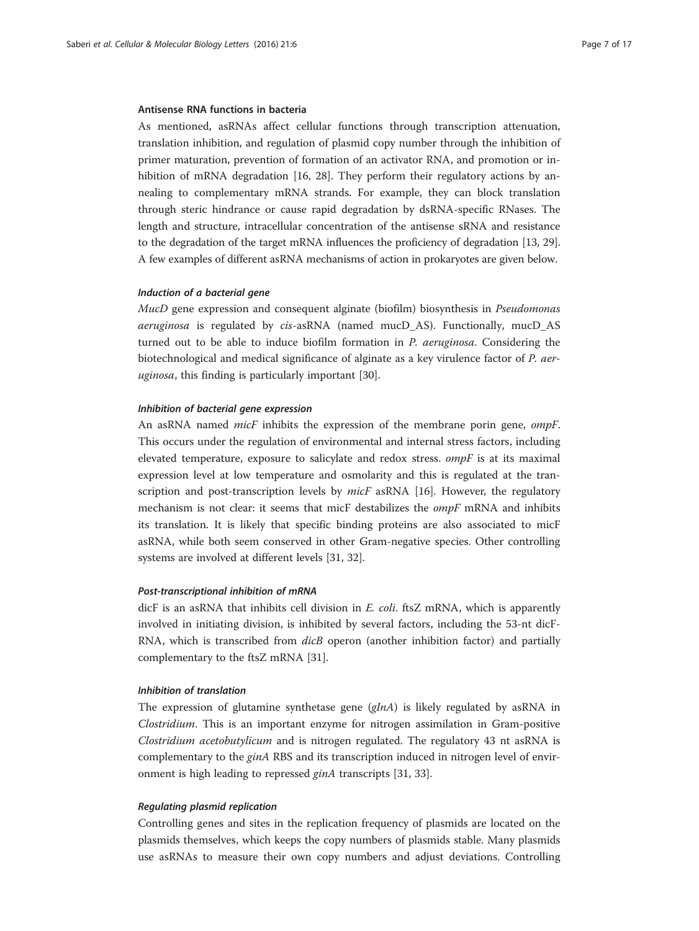#### Antisense RNA functions in bacteria

As mentioned, asRNAs affect cellular functions through transcription attenuation, translation inhibition, and regulation of plasmid copy number through the inhibition of primer maturation, prevention of formation of an activator RNA, and promotion or in-hibition of mRNA degradation [\[16, 28\]](#page-15-0). They perform their regulatory actions by annealing to complementary mRNA strands. For example, they can block translation through steric hindrance or cause rapid degradation by dsRNA-specific RNases. The length and structure, intracellular concentration of the antisense sRNA and resistance to the degradation of the target mRNA influences the proficiency of degradation [\[13, 29](#page-15-0)]. A few examples of different asRNA mechanisms of action in prokaryotes are given below.

#### Induction of a bacterial gene

MucD gene expression and consequent alginate (biofilm) biosynthesis in Pseudomonas aeruginosa is regulated by cis-asRNA (named mucD\_AS). Functionally, mucD\_AS turned out to be able to induce biofilm formation in P. aeruginosa. Considering the biotechnological and medical significance of alginate as a key virulence factor of P. aer-uginosa, this finding is particularly important [\[30\]](#page-15-0).

# Inhibition of bacterial gene expression

An asRNA named *micF* inhibits the expression of the membrane porin gene, *ompF*. This occurs under the regulation of environmental and internal stress factors, including elevated temperature, exposure to salicylate and redox stress.  $ompF$  is at its maximal expression level at low temperature and osmolarity and this is regulated at the transcription and post-transcription levels by  $micF$  asRNA [[16](#page-15-0)]. However, the regulatory mechanism is not clear: it seems that micF destabilizes the ompF mRNA and inhibits its translation. It is likely that specific binding proteins are also associated to micF asRNA, while both seem conserved in other Gram-negative species. Other controlling systems are involved at different levels [\[31, 32\]](#page-15-0).

#### Post-transcriptional inhibition of mRNA

dicF is an asRNA that inhibits cell division in E. coli. ftsZ mRNA, which is apparently involved in initiating division, is inhibited by several factors, including the 53-nt dicF-RNA, which is transcribed from *dicB* operon (another inhibition factor) and partially complementary to the ftsZ mRNA [[31\]](#page-15-0).

#### Inhibition of translation

The expression of glutamine synthetase gene  $(gInA)$  is likely regulated by asRNA in Clostridium. This is an important enzyme for nitrogen assimilation in Gram-positive Clostridium acetobutylicum and is nitrogen regulated. The regulatory 43 nt asRNA is complementary to the *ginA* RBS and its transcription induced in nitrogen level of environment is high leading to repressed ginA transcripts [[31](#page-15-0), [33](#page-15-0)].

# Regulating plasmid replication

Controlling genes and sites in the replication frequency of plasmids are located on the plasmids themselves, which keeps the copy numbers of plasmids stable. Many plasmids use asRNAs to measure their own copy numbers and adjust deviations. Controlling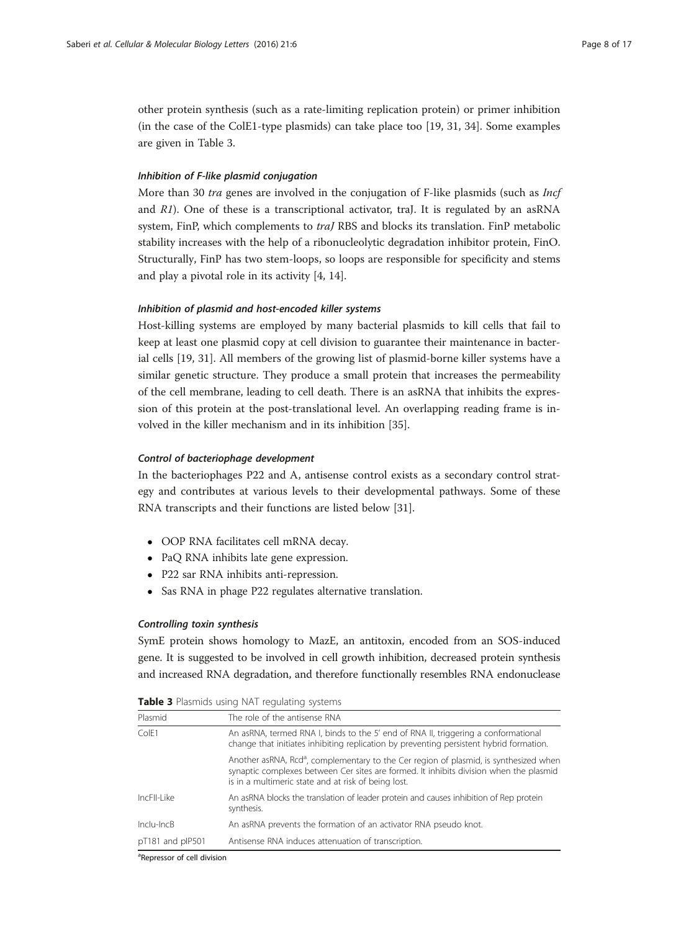other protein synthesis (such as a rate-limiting replication protein) or primer inhibition (in the case of the ColE1-type plasmids) can take place too [\[19, 31, 34\]](#page-15-0). Some examples are given in Table 3.

# Inhibition of F-like plasmid conjugation

More than 30 *tra* genes are involved in the conjugation of F-like plasmids (such as *Incf* and  $R1$ ). One of these is a transcriptional activator, traJ. It is regulated by an asRNA system, FinP, which complements to *traJ* RBS and blocks its translation. FinP metabolic stability increases with the help of a ribonucleolytic degradation inhibitor protein, FinO. Structurally, FinP has two stem-loops, so loops are responsible for specificity and stems and play a pivotal role in its activity [\[4](#page-15-0), [14](#page-15-0)].

# Inhibition of plasmid and host-encoded killer systems

Host-killing systems are employed by many bacterial plasmids to kill cells that fail to keep at least one plasmid copy at cell division to guarantee their maintenance in bacterial cells [[19, 31\]](#page-15-0). All members of the growing list of plasmid-borne killer systems have a similar genetic structure. They produce a small protein that increases the permeability of the cell membrane, leading to cell death. There is an asRNA that inhibits the expression of this protein at the post-translational level. An overlapping reading frame is involved in the killer mechanism and in its inhibition [\[35](#page-15-0)].

#### Control of bacteriophage development

In the bacteriophages P22 and A, antisense control exists as a secondary control strategy and contributes at various levels to their developmental pathways. Some of these RNA transcripts and their functions are listed below [[31](#page-15-0)].

- OOP RNA facilitates cell mRNA decay.
- PaQ RNA inhibits late gene expression.
- P22 sar RNA inhibits anti-repression.
- Sas RNA in phage P22 regulates alternative translation.

#### Controlling toxin synthesis

SymE protein shows homology to MazE, an antitoxin, encoded from an SOS-induced gene. It is suggested to be involved in cell growth inhibition, decreased protein synthesis and increased RNA degradation, and therefore functionally resembles RNA endonuclease

| Plasmid          | The role of the antisense RNA                                                                                                                                                                                                                      |
|------------------|----------------------------------------------------------------------------------------------------------------------------------------------------------------------------------------------------------------------------------------------------|
| CoIF1            | An asRNA, termed RNA I, binds to the 5' end of RNA II, triggering a conformational<br>change that initiates inhibiting replication by preventing persistent hybrid formation.                                                                      |
|                  | Another asRNA, Rcd <sup>a</sup> , complementary to the Cer region of plasmid, is synthesized when<br>synaptic complexes between Cer sites are formed. It inhibits division when the plasmid<br>is in a multimeric state and at risk of being lost. |
| IncFII-Like      | An asRNA blocks the translation of leader protein and causes inhibition of Rep protein<br>synthesis.                                                                                                                                               |
| $Inclu-IncB$     | An asRNA prevents the formation of an activator RNA pseudo knot.                                                                                                                                                                                   |
| pT181 and plP501 | Antisense RNA induces attenuation of transcription.                                                                                                                                                                                                |

Table 3 Plasmids using NAT regulating systems

<sup>a</sup>Repressor of cell division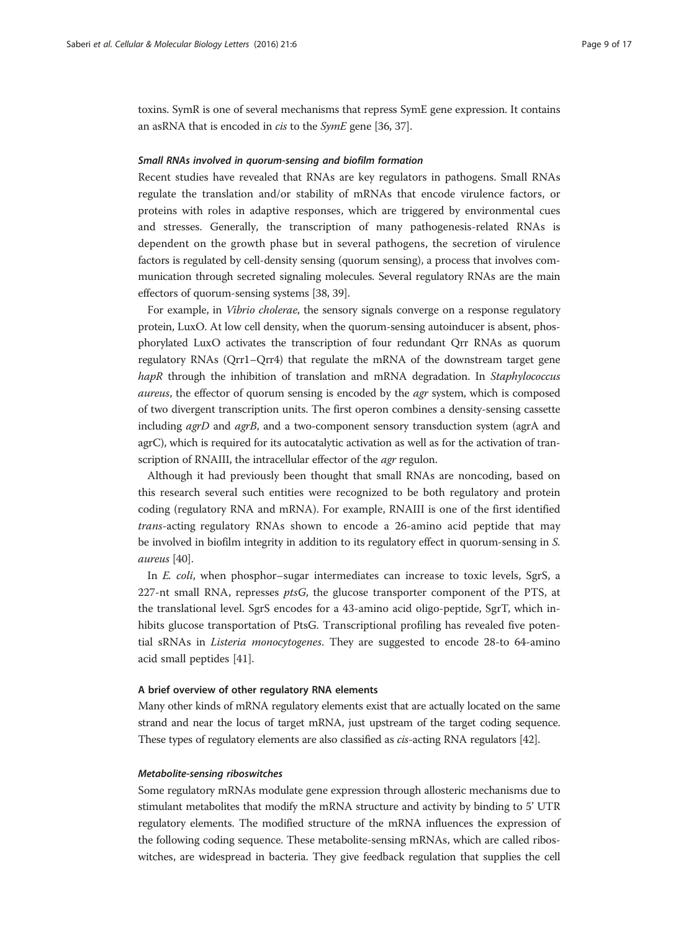toxins. SymR is one of several mechanisms that repress SymE gene expression. It contains an asRNA that is encoded in *cis* to the *SymE* gene [\[36, 37](#page-15-0)].

#### Small RNAs involved in quorum-sensing and biofilm formation

Recent studies have revealed that RNAs are key regulators in pathogens. Small RNAs regulate the translation and/or stability of mRNAs that encode virulence factors, or proteins with roles in adaptive responses, which are triggered by environmental cues and stresses. Generally, the transcription of many pathogenesis-related RNAs is dependent on the growth phase but in several pathogens, the secretion of virulence factors is regulated by cell-density sensing (quorum sensing), a process that involves communication through secreted signaling molecules. Several regulatory RNAs are the main effectors of quorum-sensing systems [\[38, 39](#page-15-0)].

For example, in Vibrio cholerae, the sensory signals converge on a response regulatory protein, LuxO. At low cell density, when the quorum-sensing autoinducer is absent, phosphorylated LuxO activates the transcription of four redundant Qrr RNAs as quorum regulatory RNAs (Qrr1–Qrr4) that regulate the mRNA of the downstream target gene hapR through the inhibition of translation and mRNA degradation. In Staphylococcus aureus, the effector of quorum sensing is encoded by the agr system, which is composed of two divergent transcription units. The first operon combines a density-sensing cassette including *agrD* and *agrB*, and a two-component sensory transduction system (agrA and agrC), which is required for its autocatalytic activation as well as for the activation of transcription of RNAIII, the intracellular effector of the *agr* regulon.

Although it had previously been thought that small RNAs are noncoding, based on this research several such entities were recognized to be both regulatory and protein coding (regulatory RNA and mRNA). For example, RNAIII is one of the first identified trans-acting regulatory RNAs shown to encode a 26-amino acid peptide that may be involved in biofilm integrity in addition to its regulatory effect in quorum-sensing in S. aureus [\[40\]](#page-15-0).

In *E. coli*, when phosphor–sugar intermediates can increase to toxic levels, SgrS, a 227-nt small RNA, represses  $ptsG$ , the glucose transporter component of the PTS, at the translational level. SgrS encodes for a 43-amino acid oligo-peptide, SgrT, which inhibits glucose transportation of PtsG. Transcriptional profiling has revealed five potential sRNAs in Listeria monocytogenes. They are suggested to encode 28-to 64-amino acid small peptides [[41](#page-15-0)].

## A brief overview of other regulatory RNA elements

Many other kinds of mRNA regulatory elements exist that are actually located on the same strand and near the locus of target mRNA, just upstream of the target coding sequence. These types of regulatory elements are also classified as cis-acting RNA regulators [[42](#page-15-0)].

#### Metabolite-sensing riboswitches

Some regulatory mRNAs modulate gene expression through allosteric mechanisms due to stimulant metabolites that modify the mRNA structure and activity by binding to 5' UTR regulatory elements. The modified structure of the mRNA influences the expression of the following coding sequence. These metabolite-sensing mRNAs, which are called riboswitches, are widespread in bacteria. They give feedback regulation that supplies the cell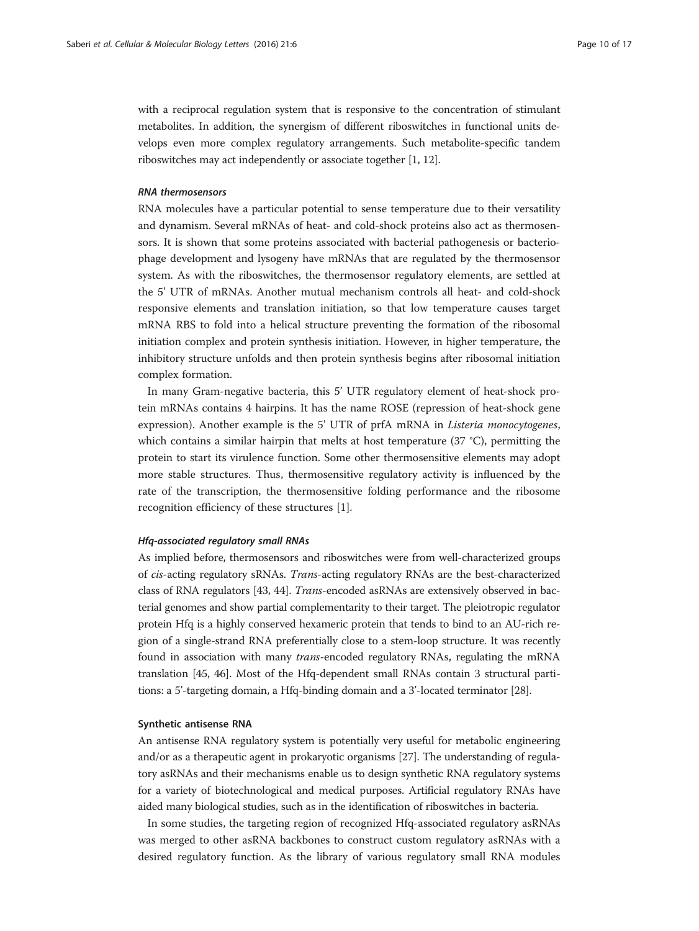with a reciprocal regulation system that is responsive to the concentration of stimulant metabolites. In addition, the synergism of different riboswitches in functional units develops even more complex regulatory arrangements. Such metabolite-specific tandem riboswitches may act independently or associate together [\[1,](#page-14-0) [12](#page-15-0)].

# RNA thermosensors

RNA molecules have a particular potential to sense temperature due to their versatility and dynamism. Several mRNAs of heat- and cold-shock proteins also act as thermosensors. It is shown that some proteins associated with bacterial pathogenesis or bacteriophage development and lysogeny have mRNAs that are regulated by the thermosensor system. As with the riboswitches, the thermosensor regulatory elements, are settled at the 5' UTR of mRNAs. Another mutual mechanism controls all heat- and cold-shock responsive elements and translation initiation, so that low temperature causes target mRNA RBS to fold into a helical structure preventing the formation of the ribosomal initiation complex and protein synthesis initiation. However, in higher temperature, the inhibitory structure unfolds and then protein synthesis begins after ribosomal initiation complex formation.

In many Gram-negative bacteria, this 5' UTR regulatory element of heat-shock protein mRNAs contains 4 hairpins. It has the name ROSE (repression of heat-shock gene expression). Another example is the 5' UTR of prfA mRNA in Listeria monocytogenes, which contains a similar hairpin that melts at host temperature (37 °C), permitting the protein to start its virulence function. Some other thermosensitive elements may adopt more stable structures. Thus, thermosensitive regulatory activity is influenced by the rate of the transcription, the thermosensitive folding performance and the ribosome recognition efficiency of these structures [\[1](#page-14-0)].

## Hfq-associated regulatory small RNAs

As implied before, thermosensors and riboswitches were from well-characterized groups of cis-acting regulatory sRNAs. Trans-acting regulatory RNAs are the best-characterized class of RNA regulators [[43, 44](#page-16-0)]. Trans-encoded asRNAs are extensively observed in bacterial genomes and show partial complementarity to their target. The pleiotropic regulator protein Hfq is a highly conserved hexameric protein that tends to bind to an AU-rich region of a single-strand RNA preferentially close to a stem-loop structure. It was recently found in association with many trans-encoded regulatory RNAs, regulating the mRNA translation [\[45, 46](#page-16-0)]. Most of the Hfq-dependent small RNAs contain 3 structural partitions: a 5'-targeting domain, a Hfq-binding domain and a 3'-located terminator [\[28](#page-15-0)].

#### Synthetic antisense RNA

An antisense RNA regulatory system is potentially very useful for metabolic engineering and/or as a therapeutic agent in prokaryotic organisms [[27](#page-15-0)]. The understanding of regulatory asRNAs and their mechanisms enable us to design synthetic RNA regulatory systems for a variety of biotechnological and medical purposes. Artificial regulatory RNAs have aided many biological studies, such as in the identification of riboswitches in bacteria.

In some studies, the targeting region of recognized Hfq-associated regulatory asRNAs was merged to other asRNA backbones to construct custom regulatory asRNAs with a desired regulatory function. As the library of various regulatory small RNA modules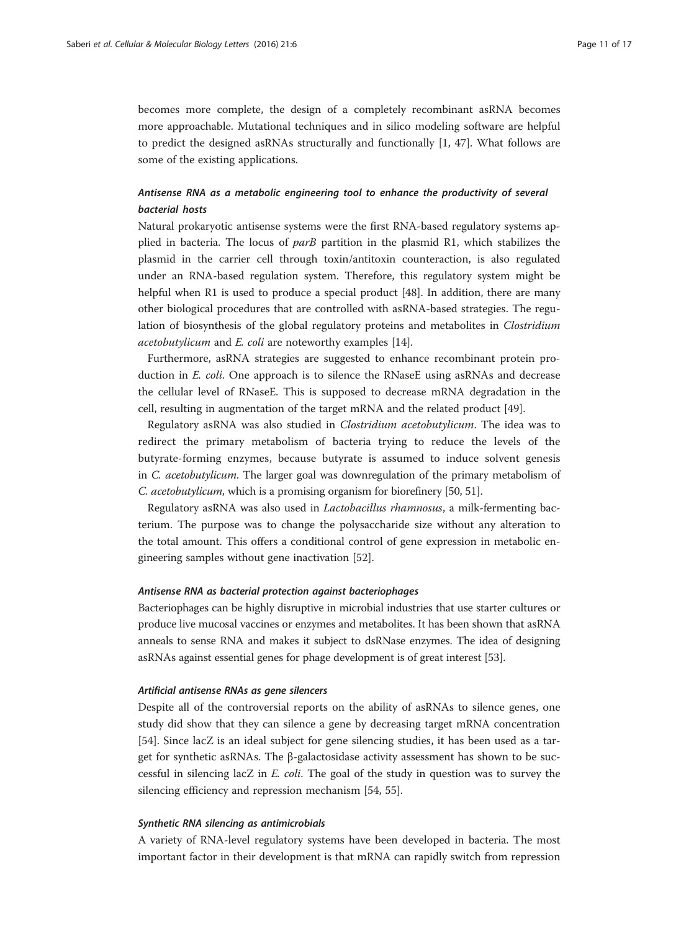becomes more complete, the design of a completely recombinant asRNA becomes more approachable. Mutational techniques and in silico modeling software are helpful to predict the designed asRNAs structurally and functionally [\[1,](#page-14-0) [47](#page-16-0)]. What follows are some of the existing applications.

# Antisense RNA as a metabolic engineering tool to enhance the productivity of several bacterial hosts

Natural prokaryotic antisense systems were the first RNA-based regulatory systems applied in bacteria. The locus of  $parB$  partition in the plasmid R1, which stabilizes the plasmid in the carrier cell through toxin/antitoxin counteraction, is also regulated under an RNA-based regulation system. Therefore, this regulatory system might be helpful when R1 is used to produce a special product [[48](#page-16-0)]. In addition, there are many other biological procedures that are controlled with asRNA-based strategies. The regulation of biosynthesis of the global regulatory proteins and metabolites in Clostridium acetobutylicum and E. coli are noteworthy examples [[14\]](#page-15-0).

Furthermore, asRNA strategies are suggested to enhance recombinant protein production in *E. coli*. One approach is to silence the RNaseE using asRNAs and decrease the cellular level of RNaseE. This is supposed to decrease mRNA degradation in the cell, resulting in augmentation of the target mRNA and the related product [[49\]](#page-16-0).

Regulatory asRNA was also studied in Clostridium acetobutylicum. The idea was to redirect the primary metabolism of bacteria trying to reduce the levels of the butyrate-forming enzymes, because butyrate is assumed to induce solvent genesis in C. acetobutylicum. The larger goal was downregulation of the primary metabolism of C. acetobutylicum, which is a promising organism for biorefinery [\[50, 51](#page-16-0)].

Regulatory asRNA was also used in Lactobacillus rhamnosus, a milk-fermenting bacterium. The purpose was to change the polysaccharide size without any alteration to the total amount. This offers a conditional control of gene expression in metabolic engineering samples without gene inactivation [[52\]](#page-16-0).

#### Antisense RNA as bacterial protection against bacteriophages

Bacteriophages can be highly disruptive in microbial industries that use starter cultures or produce live mucosal vaccines or enzymes and metabolites. It has been shown that asRNA anneals to sense RNA and makes it subject to dsRNase enzymes. The idea of designing asRNAs against essential genes for phage development is of great interest [\[53\]](#page-16-0).

#### Artificial antisense RNAs as gene silencers

Despite all of the controversial reports on the ability of asRNAs to silence genes, one study did show that they can silence a gene by decreasing target mRNA concentration [[54\]](#page-16-0). Since lacZ is an ideal subject for gene silencing studies, it has been used as a target for synthetic asRNAs. The β-galactosidase activity assessment has shown to be successful in silencing lacZ in E. coli. The goal of the study in question was to survey the silencing efficiency and repression mechanism [\[54](#page-16-0), [55](#page-16-0)].

## Synthetic RNA silencing as antimicrobials

A variety of RNA-level regulatory systems have been developed in bacteria. The most important factor in their development is that mRNA can rapidly switch from repression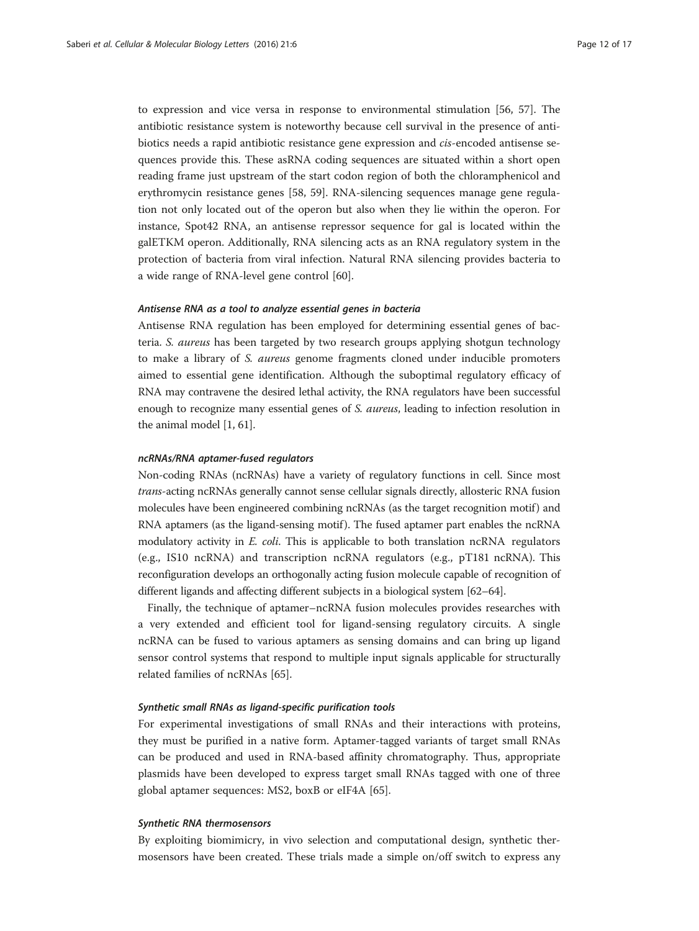to expression and vice versa in response to environmental stimulation [[56](#page-16-0), [57\]](#page-16-0). The antibiotic resistance system is noteworthy because cell survival in the presence of antibiotics needs a rapid antibiotic resistance gene expression and cis-encoded antisense sequences provide this. These asRNA coding sequences are situated within a short open reading frame just upstream of the start codon region of both the chloramphenicol and erythromycin resistance genes [[58, 59](#page-16-0)]. RNA-silencing sequences manage gene regulation not only located out of the operon but also when they lie within the operon. For instance, Spot42 RNA, an antisense repressor sequence for gal is located within the galETKM operon. Additionally, RNA silencing acts as an RNA regulatory system in the protection of bacteria from viral infection. Natural RNA silencing provides bacteria to a wide range of RNA-level gene control [\[60](#page-16-0)].

# Antisense RNA as a tool to analyze essential genes in bacteria

Antisense RNA regulation has been employed for determining essential genes of bacteria. S. aureus has been targeted by two research groups applying shotgun technology to make a library of S. aureus genome fragments cloned under inducible promoters aimed to essential gene identification. Although the suboptimal regulatory efficacy of RNA may contravene the desired lethal activity, the RNA regulators have been successful enough to recognize many essential genes of S. aureus, leading to infection resolution in the animal model [\[1](#page-14-0), [61](#page-16-0)].

#### ncRNAs/RNA aptamer-fused regulators

Non-coding RNAs (ncRNAs) have a variety of regulatory functions in cell. Since most trans-acting ncRNAs generally cannot sense cellular signals directly, allosteric RNA fusion molecules have been engineered combining ncRNAs (as the target recognition motif ) and RNA aptamers (as the ligand-sensing motif). The fused aptamer part enables the ncRNA modulatory activity in E. coli. This is applicable to both translation ncRNA regulators (e.g., IS10 ncRNA) and transcription ncRNA regulators (e.g., pT181 ncRNA). This reconfiguration develops an orthogonally acting fusion molecule capable of recognition of different ligands and affecting different subjects in a biological system [\[62](#page-16-0)–[64](#page-16-0)].

Finally, the technique of aptamer–ncRNA fusion molecules provides researches with a very extended and efficient tool for ligand-sensing regulatory circuits. A single ncRNA can be fused to various aptamers as sensing domains and can bring up ligand sensor control systems that respond to multiple input signals applicable for structurally related families of ncRNAs [[65\]](#page-16-0).

# Synthetic small RNAs as ligand-specific purification tools

For experimental investigations of small RNAs and their interactions with proteins, they must be purified in a native form. Aptamer-tagged variants of target small RNAs can be produced and used in RNA-based affinity chromatography. Thus, appropriate plasmids have been developed to express target small RNAs tagged with one of three global aptamer sequences: MS2, boxB or eIF4A [\[65\]](#page-16-0).

#### Synthetic RNA thermosensors

By exploiting biomimicry, in vivo selection and computational design, synthetic thermosensors have been created. These trials made a simple on/off switch to express any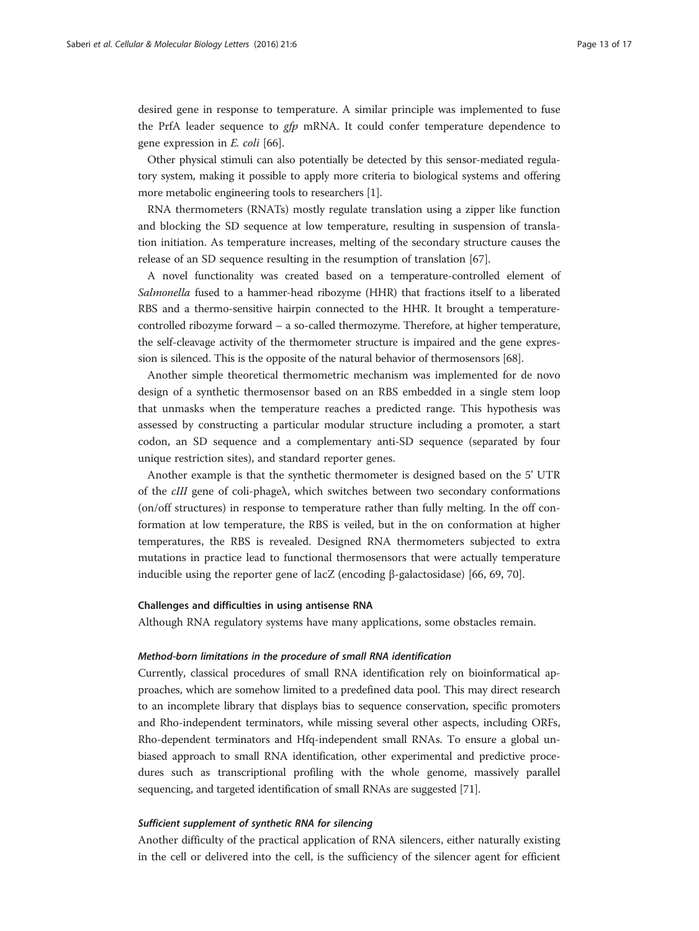desired gene in response to temperature. A similar principle was implemented to fuse the PrfA leader sequence to gfp mRNA. It could confer temperature dependence to gene expression in E. coli [\[66](#page-16-0)].

Other physical stimuli can also potentially be detected by this sensor-mediated regulatory system, making it possible to apply more criteria to biological systems and offering more metabolic engineering tools to researchers [[1](#page-14-0)].

RNA thermometers (RNATs) mostly regulate translation using a zipper like function and blocking the SD sequence at low temperature, resulting in suspension of translation initiation. As temperature increases, melting of the secondary structure causes the release of an SD sequence resulting in the resumption of translation [\[67\]](#page-16-0).

A novel functionality was created based on a temperature-controlled element of Salmonella fused to a hammer-head ribozyme (HHR) that fractions itself to a liberated RBS and a thermo-sensitive hairpin connected to the HHR. It brought a temperaturecontrolled ribozyme forward – a so-called thermozyme. Therefore, at higher temperature, the self-cleavage activity of the thermometer structure is impaired and the gene expression is silenced. This is the opposite of the natural behavior of thermosensors [[68](#page-16-0)].

Another simple theoretical thermometric mechanism was implemented for de novo design of a synthetic thermosensor based on an RBS embedded in a single stem loop that unmasks when the temperature reaches a predicted range. This hypothesis was assessed by constructing a particular modular structure including a promoter, a start codon, an SD sequence and a complementary anti-SD sequence (separated by four unique restriction sites), and standard reporter genes.

Another example is that the synthetic thermometer is designed based on the 5' UTR of the cIII gene of coli-phageλ, which switches between two secondary conformations (on/off structures) in response to temperature rather than fully melting. In the off conformation at low temperature, the RBS is veiled, but in the on conformation at higher temperatures, the RBS is revealed. Designed RNA thermometers subjected to extra mutations in practice lead to functional thermosensors that were actually temperature inducible using the reporter gene of lacZ (encoding β-galactosidase) [\[66](#page-16-0), [69](#page-16-0), [70](#page-16-0)].

#### Challenges and difficulties in using antisense RNA

Although RNA regulatory systems have many applications, some obstacles remain.

#### Method-born limitations in the procedure of small RNA identification

Currently, classical procedures of small RNA identification rely on bioinformatical approaches, which are somehow limited to a predefined data pool. This may direct research to an incomplete library that displays bias to sequence conservation, specific promoters and Rho-independent terminators, while missing several other aspects, including ORFs, Rho-dependent terminators and Hfq-independent small RNAs. To ensure a global unbiased approach to small RNA identification, other experimental and predictive procedures such as transcriptional profiling with the whole genome, massively parallel sequencing, and targeted identification of small RNAs are suggested [[71\]](#page-16-0).

#### Sufficient supplement of synthetic RNA for silencing

Another difficulty of the practical application of RNA silencers, either naturally existing in the cell or delivered into the cell, is the sufficiency of the silencer agent for efficient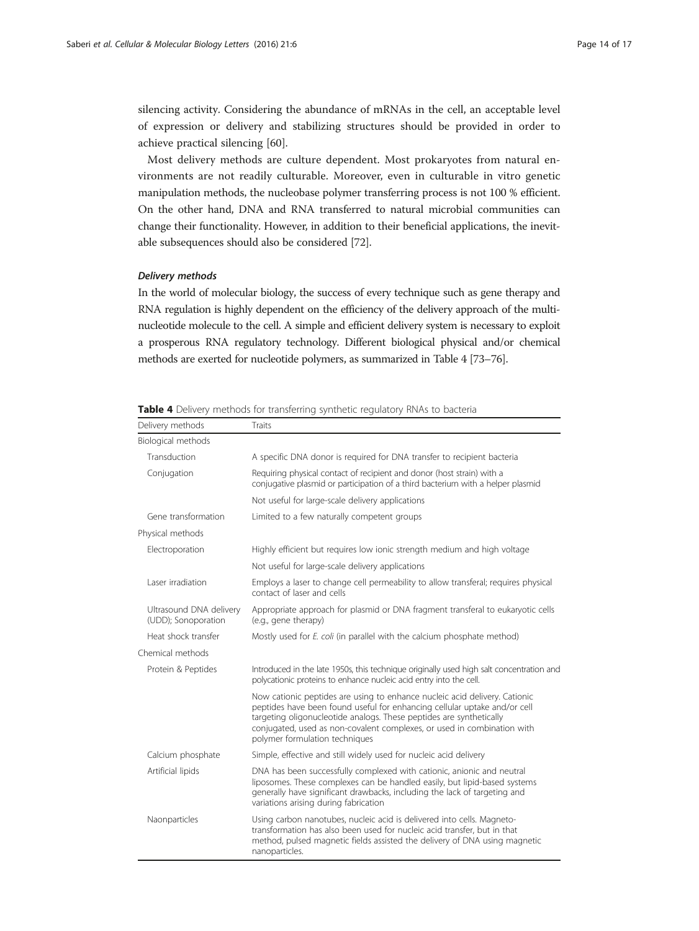silencing activity. Considering the abundance of mRNAs in the cell, an acceptable level of expression or delivery and stabilizing structures should be provided in order to achieve practical silencing [\[60](#page-16-0)].

Most delivery methods are culture dependent. Most prokaryotes from natural environments are not readily culturable. Moreover, even in culturable in vitro genetic manipulation methods, the nucleobase polymer transferring process is not 100 % efficient. On the other hand, DNA and RNA transferred to natural microbial communities can change their functionality. However, in addition to their beneficial applications, the inevitable subsequences should also be considered [[72\]](#page-16-0).

## Delivery methods

In the world of molecular biology, the success of every technique such as gene therapy and RNA regulation is highly dependent on the efficiency of the delivery approach of the multinucleotide molecule to the cell. A simple and efficient delivery system is necessary to exploit a prosperous RNA regulatory technology. Different biological physical and/or chemical methods are exerted for nucleotide polymers, as summarized in Table 4 [\[73](#page-16-0)–[76](#page-16-0)].

| Delivery methods                               | Traits                                                                                                                                                                                                                                                                                                                                      |
|------------------------------------------------|---------------------------------------------------------------------------------------------------------------------------------------------------------------------------------------------------------------------------------------------------------------------------------------------------------------------------------------------|
| Biological methods                             |                                                                                                                                                                                                                                                                                                                                             |
| Transduction                                   | A specific DNA donor is required for DNA transfer to recipient bacteria                                                                                                                                                                                                                                                                     |
| Conjugation                                    | Requiring physical contact of recipient and donor (host strain) with a<br>conjugative plasmid or participation of a third bacterium with a helper plasmid                                                                                                                                                                                   |
|                                                | Not useful for large-scale delivery applications                                                                                                                                                                                                                                                                                            |
| Gene transformation                            | Limited to a few naturally competent groups                                                                                                                                                                                                                                                                                                 |
| Physical methods                               |                                                                                                                                                                                                                                                                                                                                             |
| Electroporation                                | Highly efficient but requires low ionic strength medium and high voltage                                                                                                                                                                                                                                                                    |
|                                                | Not useful for large-scale delivery applications                                                                                                                                                                                                                                                                                            |
| Laser irradiation                              | Employs a laser to change cell permeability to allow transferal; requires physical<br>contact of laser and cells                                                                                                                                                                                                                            |
| Ultrasound DNA delivery<br>(UDD); Sonoporation | Appropriate approach for plasmid or DNA fragment transferal to eukaryotic cells<br>(e.g., gene therapy)                                                                                                                                                                                                                                     |
| Heat shock transfer                            | Mostly used for E. coli (in parallel with the calcium phosphate method)                                                                                                                                                                                                                                                                     |
| Chemical methods                               |                                                                                                                                                                                                                                                                                                                                             |
| Protein & Peptides                             | Introduced in the late 1950s, this technique originally used high salt concentration and<br>polycationic proteins to enhance nucleic acid entry into the cell.                                                                                                                                                                              |
|                                                | Now cationic peptides are using to enhance nucleic acid delivery. Cationic<br>peptides have been found useful for enhancing cellular uptake and/or cell<br>targeting oligonucleotide analogs. These peptides are synthetically<br>conjugated, used as non-covalent complexes, or used in combination with<br>polymer formulation techniques |
| Calcium phosphate                              | Simple, effective and still widely used for nucleic acid delivery                                                                                                                                                                                                                                                                           |
| Artificial lipids                              | DNA has been successfully complexed with cationic, anionic and neutral<br>liposomes. These complexes can be handled easily, but lipid-based systems<br>generally have significant drawbacks, including the lack of targeting and<br>variations arising during fabrication                                                                   |
| Naonparticles                                  | Using carbon nanotubes, nucleic acid is delivered into cells. Magneto-<br>transformation has also been used for nucleic acid transfer, but in that<br>method, pulsed magnetic fields assisted the delivery of DNA using magnetic<br>nanoparticles.                                                                                          |

Table 4 Delivery methods for transferring synthetic regulatory RNAs to bacteria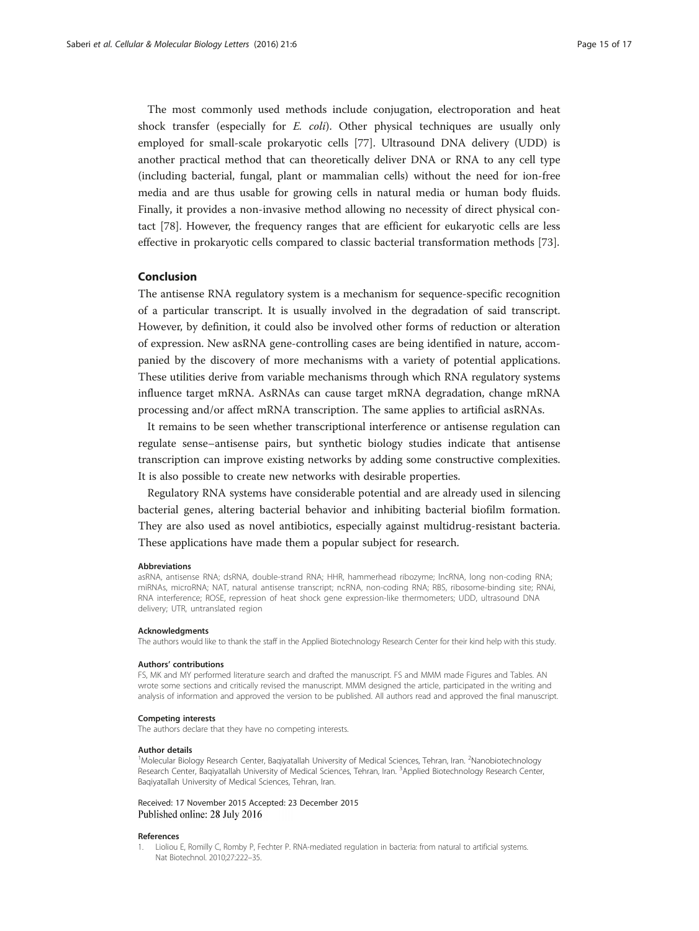<span id="page-14-0"></span>The most commonly used methods include conjugation, electroporation and heat shock transfer (especially for  $E$ ,  $coli$ ). Other physical techniques are usually only employed for small-scale prokaryotic cells [[77\]](#page-16-0). Ultrasound DNA delivery (UDD) is another practical method that can theoretically deliver DNA or RNA to any cell type (including bacterial, fungal, plant or mammalian cells) without the need for ion-free media and are thus usable for growing cells in natural media or human body fluids. Finally, it provides a non-invasive method allowing no necessity of direct physical contact [[78\]](#page-16-0). However, the frequency ranges that are efficient for eukaryotic cells are less effective in prokaryotic cells compared to classic bacterial transformation methods [[73\]](#page-16-0).

# Conclusion

The antisense RNA regulatory system is a mechanism for sequence-specific recognition of a particular transcript. It is usually involved in the degradation of said transcript. However, by definition, it could also be involved other forms of reduction or alteration of expression. New asRNA gene-controlling cases are being identified in nature, accompanied by the discovery of more mechanisms with a variety of potential applications. These utilities derive from variable mechanisms through which RNA regulatory systems influence target mRNA. AsRNAs can cause target mRNA degradation, change mRNA processing and/or affect mRNA transcription. The same applies to artificial asRNAs.

It remains to be seen whether transcriptional interference or antisense regulation can regulate sense–antisense pairs, but synthetic biology studies indicate that antisense transcription can improve existing networks by adding some constructive complexities. It is also possible to create new networks with desirable properties.

Regulatory RNA systems have considerable potential and are already used in silencing bacterial genes, altering bacterial behavior and inhibiting bacterial biofilm formation. They are also used as novel antibiotics, especially against multidrug-resistant bacteria. These applications have made them a popular subject for research.

#### Abbreviations

asRNA, antisense RNA; dsRNA, double-strand RNA; HHR, hammerhead ribozyme; lncRNA, long non-coding RNA; miRNAs, microRNA; NAT, natural antisense transcript; ncRNA, non-coding RNA; RBS, ribosome-binding site; RNAi, RNA interference; ROSE, repression of heat shock gene expression-like thermometers; UDD, ultrasound DNA delivery; UTR, untranslated region

#### Acknowledgments

The authors would like to thank the staff in the Applied Biotechnology Research Center for their kind help with this study.

#### Authors' contributions

FS, MK and MY performed literature search and drafted the manuscript. FS and MMM made Figures and Tables. AN wrote some sections and critically revised the manuscript. MMM designed the article, participated in the writing and analysis of information and approved the version to be published. All authors read and approved the final manuscript.

#### Competing interests

The authors declare that they have no competing interests.

#### Author details

<sup>1</sup>Molecular Biology Research Center, Baqiyatallah University of Medical Sciences, Tehran, Iran. <sup>2</sup>Nanobiotechnology Research Center, Baqiyatallah University of Medical Sciences, Tehran, Iran. <sup>3</sup>Applied Biotechnology Research Center, Baqiyatallah University of Medical Sciences, Tehran, Iran.

Received: 17 November 2015 Accepted: 23 December 2015 Published online: 28 July 2016

#### References

1. Lioliou E, Romilly C, Romby P, Fechter P. RNA-mediated regulation in bacteria: from natural to artificial systems. Nat Biotechnol. 2010;27:222–35.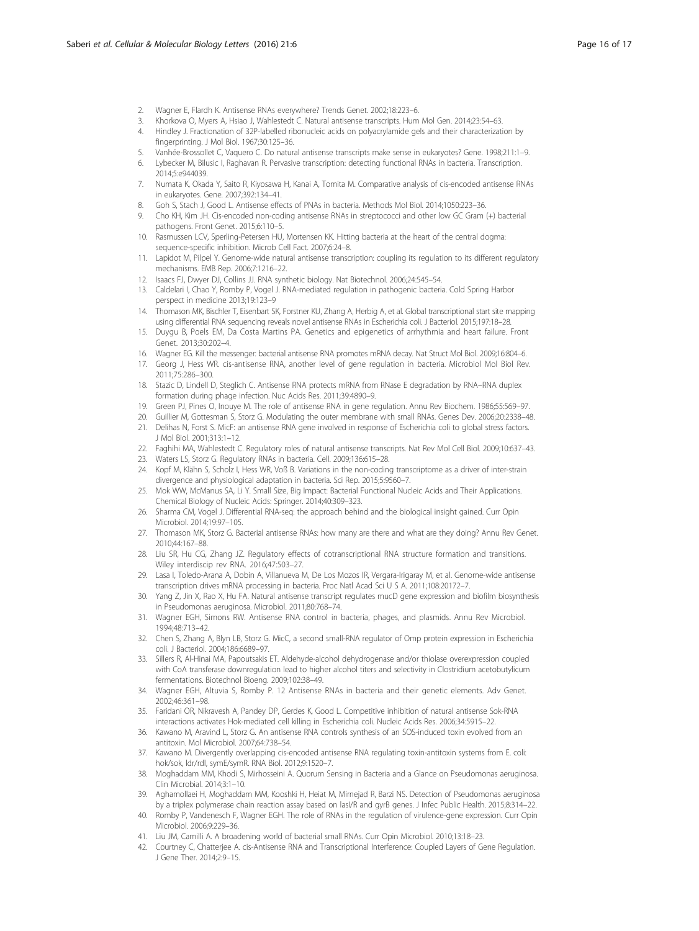- <span id="page-15-0"></span>2. Wagner E, Flardh K. Antisense RNAs everywhere? Trends Genet. 2002;18:223–6.
- 3. Khorkova O, Myers A, Hsiao J, Wahlestedt C. Natural antisense transcripts. Hum Mol Gen. 2014;23:54–63.
- 4. Hindley J. Fractionation of 32P-labelled ribonucleic acids on polyacrylamide gels and their characterization by fingerprinting. J Mol Biol. 1967;30:125–36.
- 5. Vanhée-Brossollet C, Vaquero C. Do natural antisense transcripts make sense in eukaryotes? Gene. 1998;211:1–9.
- 6. Lybecker M, Bilusic I, Raghavan R. Pervasive transcription: detecting functional RNAs in bacteria. Transcription. 2014;5:e944039.
- 7. Numata K, Okada Y, Saito R, Kiyosawa H, Kanai A, Tomita M. Comparative analysis of cis-encoded antisense RNAs in eukaryotes. Gene. 2007;392:134–41.
- 8. Goh S, Stach J, Good L. Antisense effects of PNAs in bacteria. Methods Mol Biol. 2014;1050:223–36.
- 9. Cho KH, Kim JH. Cis-encoded non-coding antisense RNAs in streptococci and other low GC Gram (+) bacterial pathogens. Front Genet. 2015;6:110–5.
- 10. Rasmussen LCV, Sperling-Petersen HU, Mortensen KK. Hitting bacteria at the heart of the central dogma: sequence-specific inhibition. Microb Cell Fact. 2007;6:24–8.
- 11. Lapidot M, Pilpel Y. Genome-wide natural antisense transcription: coupling its regulation to its different regulatory mechanisms. EMB Rep. 2006;7:1216–22.
- 12. Isaacs FJ, Dwyer DJ, Collins JJ. RNA synthetic biology. Nat Biotechnol. 2006;24:545–54.
- 13. Caldelari I, Chao Y, Romby P, Vogel J. RNA-mediated regulation in pathogenic bacteria. Cold Spring Harbor perspect in medicine 2013;19:123–9
- 14. Thomason MK, Bischler T, Eisenbart SK, Forstner KU, Zhang A, Herbig A, et al. Global transcriptional start site mapping using differential RNA sequencing reveals novel antisense RNAs in Escherichia coli. J Bacteriol. 2015;197:18–28.
- 15. Duygu B, Poels EM, Da Costa Martins PA. Genetics and epigenetics of arrhythmia and heart failure. Front Genet. 2013;30:202–4.
- 16. Wagner EG. Kill the messenger: bacterial antisense RNA promotes mRNA decay. Nat Struct Mol Biol. 2009;16:804–6.
- 17. Georg J, Hess WR. cis-antisense RNA, another level of gene regulation in bacteria. Microbiol Mol Biol Rev. 2011;75:286–300.
- 18. Stazic D, Lindell D, Steglich C. Antisense RNA protects mRNA from RNase E degradation by RNA–RNA duplex formation during phage infection. Nuc Acids Res. 2011;39:4890–9.
- 19. Green PJ, Pines O, Inouye M. The role of antisense RNA in gene regulation. Annu Rev Biochem. 1986;55:569–97.
- 20. Guillier M, Gottesman S, Storz G. Modulating the outer membrane with small RNAs. Genes Dev. 2006;20:2338–48.
- 21. Delihas N, Forst S. MicF: an antisense RNA gene involved in response of Escherichia coli to global stress factors. J Mol Biol. 2001;313:1–12.
- 22. Faghihi MA, Wahlestedt C. Regulatory roles of natural antisense transcripts. Nat Rev Mol Cell Biol. 2009;10:637–43.
- 23. Waters LS, Storz G. Regulatory RNAs in bacteria. Cell. 2009;136:615–28.
- 24. Kopf M, Klähn S, Scholz I, Hess WR, Voß B. Variations in the non-coding transcriptome as a driver of inter-strain divergence and physiological adaptation in bacteria. Sci Rep. 2015;5:9560–7.
- 25. Mok WW, McManus SA, Li Y. Small Size, Big Impact: Bacterial Functional Nucleic Acids and Their Applications. Chemical Biology of Nucleic Acids: Springer. 2014;40:309–323.
- 26. Sharma CM, Vogel J. Differential RNA-seq: the approach behind and the biological insight gained. Curr Opin Microbiol. 2014;19:97–105.
- 27. Thomason MK, Storz G. Bacterial antisense RNAs: how many are there and what are they doing? Annu Rev Genet. 2010;44:167–88.
- 28. Liu SR, Hu CG, Zhang JZ. Regulatory effects of cotranscriptional RNA structure formation and transitions. Wiley interdiscip rev RNA. 2016;47:503–27.
- 29. Lasa I, Toledo-Arana A, Dobin A, Villanueva M, De Los Mozos IR, Vergara-Irigaray M, et al. Genome-wide antisense transcription drives mRNA processing in bacteria. Proc Natl Acad Sci U S A. 2011;108:20172–7.
- 30. Yang Z, Jin X, Rao X, Hu FA. Natural antisense transcript regulates mucD gene expression and biofilm biosynthesis in Pseudomonas aeruginosa. Microbiol. 2011;80:768–74.
- 31. Wagner EGH, Simons RW. Antisense RNA control in bacteria, phages, and plasmids. Annu Rev Microbiol. 1994;48:713–42.
- 32. Chen S, Zhang A, Blyn LB, Storz G. MicC, a second small-RNA regulator of Omp protein expression in Escherichia coli. J Bacteriol. 2004;186:6689–97.
- 33. Sillers R, Al-Hinai MA, Papoutsakis ET. Aldehyde-alcohol dehydrogenase and/or thiolase overexpression coupled with CoA transferase downregulation lead to higher alcohol titers and selectivity in Clostridium acetobutylicum fermentations. Biotechnol Bioeng. 2009;102:38–49.
- 34. Wagner EGH, Altuvia S, Romby P. 12 Antisense RNAs in bacteria and their genetic elements. Adv Genet. 2002;46:361–98.
- 35. Faridani OR, Nikravesh A, Pandey DP, Gerdes K, Good L. Competitive inhibition of natural antisense Sok-RNA interactions activates Hok-mediated cell killing in Escherichia coli. Nucleic Acids Res. 2006;34:5915–22.
- 36. Kawano M, Aravind L, Storz G. An antisense RNA controls synthesis of an SOS-induced toxin evolved from an antitoxin. Mol Microbiol. 2007;64:738–54.
- 37. Kawano M. Divergently overlapping cis-encoded antisense RNA regulating toxin-antitoxin systems from E. coli: hok/sok, ldr/rdl, symE/symR. RNA Biol. 2012;9:1520–7.
- 38. Moghaddam MM, Khodi S, Mirhosseini A. Quorum Sensing in Bacteria and a Glance on Pseudomonas aeruginosa. Clin Microbial. 2014;3:1–10.
- 39. Aghamollaei H, Moghaddam MM, Kooshki H, Heiat M, Mirnejad R, Barzi NS. Detection of Pseudomonas aeruginosa by a triplex polymerase chain reaction assay based on lasI/R and gyrB genes. J Infec Public Health. 2015;8:314–22.
- 40. Romby P, Vandenesch F, Wagner EGH. The role of RNAs in the regulation of virulence-gene expression. Curr Opin Microbiol. 2006;9:229–36.
- 41. Liu JM, Camilli A. A broadening world of bacterial small RNAs. Curr Opin Microbiol. 2010;13:18–23.
- 42. Courtney C, Chatterjee A. cis-Antisense RNA and Transcriptional Interference: Coupled Layers of Gene Regulation. J Gene Ther. 2014;2:9–15.